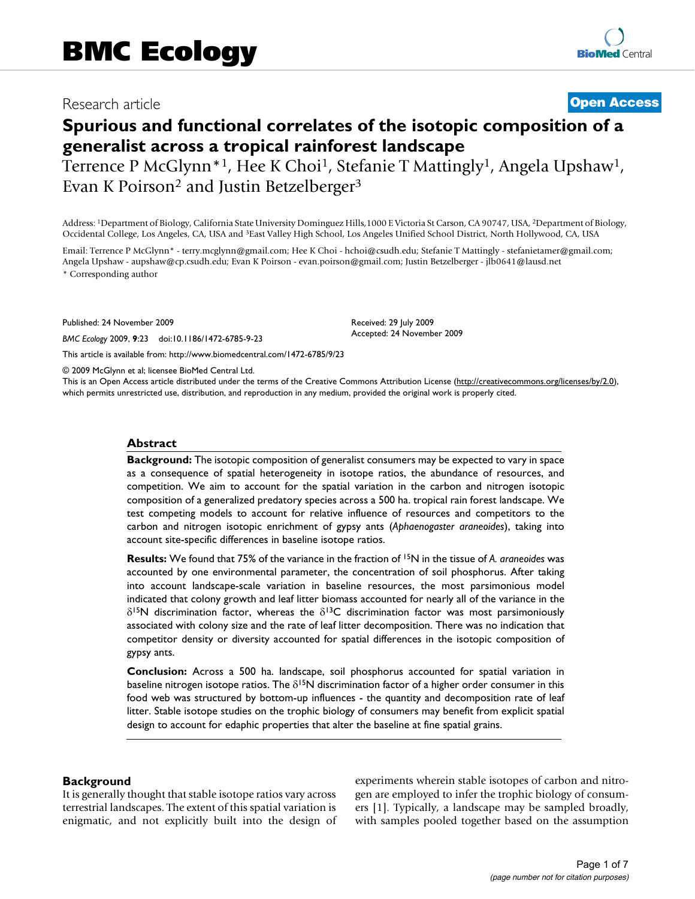# Research article **Contract Contract Contract Contract Contract Contract Contract Contract Contract Contract Contract Contract Contract Contract Contract Contract Contract Contract Contract Contract Contract Contract Contra**

# **Spurious and functional correlates of the isotopic composition of a generalist across a tropical rainforest landscape**

Terrence P McGlynn<sup>\*1</sup>, Hee K Choi<sup>1</sup>, Stefanie T Mattingly<sup>1</sup>, Angela Upshaw<sup>1</sup>, Evan K Poirson<sup>2</sup> and Justin Betzelberger<sup>3</sup>

Address: 1Department of Biology, California State University Dominguez Hills,1000 E Victoria St Carson, CA 90747, USA, 2Department of Biology, Occidental College, Los Angeles, CA, USA and 3East Valley High School, Los Angeles Unified School District, North Hollywood, CA, USA

Email: Terrence P McGlynn\* - terry.mcglynn@gmail.com; Hee K Choi - hchoi@csudh.edu; Stefanie T Mattingly - stefanietamer@gmail.com; Angela Upshaw - aupshaw@cp.csudh.edu; Evan K Poirson - evan.poirson@gmail.com; Justin Betzelberger - jlb0641@lausd.net

\* Corresponding author

Published: 24 November 2009

*BMC Ecology* 2009, **9**:23 doi:10.1186/1472-6785-9-23

[This article is available from: http://www.biomedcentral.com/1472-6785/9/23](http://www.biomedcentral.com/1472-6785/9/23)

© 2009 McGlynn et al; licensee BioMed Central Ltd.

This is an Open Access article distributed under the terms of the Creative Commons Attribution License [\(http://creativecommons.org/licenses/by/2.0\)](http://creativecommons.org/licenses/by/2.0), which permits unrestricted use, distribution, and reproduction in any medium, provided the original work is properly cited.

Received: 29 July 2009 Accepted: 24 November 2009

#### **Abstract**

**Background:** The isotopic composition of generalist consumers may be expected to vary in space as a consequence of spatial heterogeneity in isotope ratios, the abundance of resources, and competition. We aim to account for the spatial variation in the carbon and nitrogen isotopic composition of a generalized predatory species across a 500 ha. tropical rain forest landscape. We test competing models to account for relative influence of resources and competitors to the carbon and nitrogen isotopic enrichment of gypsy ants (*Aphaenogaster araneoides*), taking into account site-specific differences in baseline isotope ratios.

**Results:** We found that 75% of the variance in the fraction of 15N in the tissue of *A. araneoides* was accounted by one environmental parameter, the concentration of soil phosphorus. After taking into account landscape-scale variation in baseline resources, the most parsimonious model indicated that colony growth and leaf litter biomass accounted for nearly all of the variance in the  $\delta^{15}$ N discrimination factor, whereas the  $\delta^{13}$ C discrimination factor was most parsimoniously associated with colony size and the rate of leaf litter decomposition. There was no indication that competitor density or diversity accounted for spatial differences in the isotopic composition of gypsy ants.

**Conclusion:** Across a 500 ha. landscape, soil phosphorus accounted for spatial variation in baseline nitrogen isotope ratios. The  $\delta^{15}N$  discrimination factor of a higher order consumer in this food web was structured by bottom-up influences - the quantity and decomposition rate of leaf litter. Stable isotope studies on the trophic biology of consumers may benefit from explicit spatial design to account for edaphic properties that alter the baseline at fine spatial grains.

#### **Background**

It is generally thought that stable isotope ratios vary across terrestrial landscapes. The extent of this spatial variation is enigmatic, and not explicitly built into the design of experiments wherein stable isotopes of carbon and nitrogen are employed to infer the trophic biology of consumers [1]. Typically, a landscape may be sampled broadly, with samples pooled together based on the assumption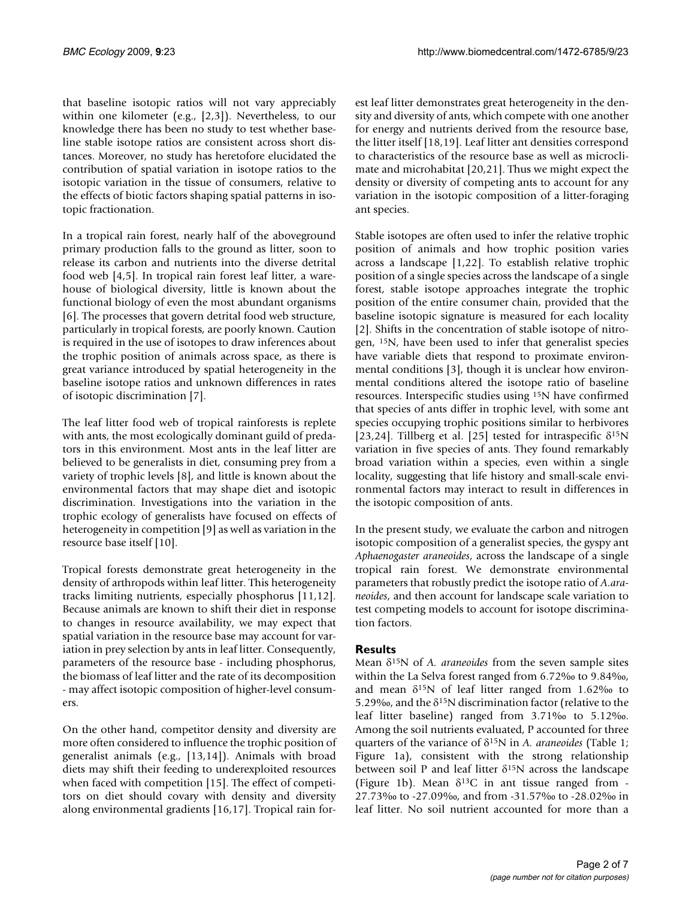that baseline isotopic ratios will not vary appreciably within one kilometer (e.g., [2,3]). Nevertheless, to our knowledge there has been no study to test whether baseline stable isotope ratios are consistent across short distances. Moreover, no study has heretofore elucidated the contribution of spatial variation in isotope ratios to the isotopic variation in the tissue of consumers, relative to the effects of biotic factors shaping spatial patterns in isotopic fractionation.

In a tropical rain forest, nearly half of the aboveground primary production falls to the ground as litter, soon to release its carbon and nutrients into the diverse detrital food web [4,5]. In tropical rain forest leaf litter, a warehouse of biological diversity, little is known about the functional biology of even the most abundant organisms [6]. The processes that govern detrital food web structure, particularly in tropical forests, are poorly known. Caution is required in the use of isotopes to draw inferences about the trophic position of animals across space, as there is great variance introduced by spatial heterogeneity in the baseline isotope ratios and unknown differences in rates of isotopic discrimination [7].

The leaf litter food web of tropical rainforests is replete with ants, the most ecologically dominant guild of predators in this environment. Most ants in the leaf litter are believed to be generalists in diet, consuming prey from a variety of trophic levels [8], and little is known about the environmental factors that may shape diet and isotopic discrimination. Investigations into the variation in the trophic ecology of generalists have focused on effects of heterogeneity in competition [9] as well as variation in the resource base itself [10].

Tropical forests demonstrate great heterogeneity in the density of arthropods within leaf litter. This heterogeneity tracks limiting nutrients, especially phosphorus [11,12]. Because animals are known to shift their diet in response to changes in resource availability, we may expect that spatial variation in the resource base may account for variation in prey selection by ants in leaf litter. Consequently, parameters of the resource base - including phosphorus, the biomass of leaf litter and the rate of its decomposition - may affect isotopic composition of higher-level consumers.

On the other hand, competitor density and diversity are more often considered to influence the trophic position of generalist animals (e.g., [13,14]). Animals with broad diets may shift their feeding to underexploited resources when faced with competition [15]. The effect of competitors on diet should covary with density and diversity along environmental gradients [16,17]. Tropical rain forest leaf litter demonstrates great heterogeneity in the density and diversity of ants, which compete with one another for energy and nutrients derived from the resource base, the litter itself [18,19]. Leaf litter ant densities correspond to characteristics of the resource base as well as microclimate and microhabitat [20,21]. Thus we might expect the density or diversity of competing ants to account for any variation in the isotopic composition of a litter-foraging ant species.

Stable isotopes are often used to infer the relative trophic position of animals and how trophic position varies across a landscape [1,22]. To establish relative trophic position of a single species across the landscape of a single forest, stable isotope approaches integrate the trophic position of the entire consumer chain, provided that the baseline isotopic signature is measured for each locality [2]. Shifts in the concentration of stable isotope of nitrogen, 15N, have been used to infer that generalist species have variable diets that respond to proximate environmental conditions [3], though it is unclear how environmental conditions altered the isotope ratio of baseline resources. Interspecific studies using 15N have confirmed that species of ants differ in trophic level, with some ant species occupying trophic positions similar to herbivores [23,24]. Tillberg et al. [25] tested for intraspecific  $\delta^{15}N$ variation in five species of ants. They found remarkably broad variation within a species, even within a single locality, suggesting that life history and small-scale environmental factors may interact to result in differences in the isotopic composition of ants.

In the present study, we evaluate the carbon and nitrogen isotopic composition of a generalist species, the gyspy ant *Aphaenogaster araneoides*, across the landscape of a single tropical rain forest. We demonstrate environmental parameters that robustly predict the isotope ratio of *A.araneoides*, and then account for landscape scale variation to test competing models to account for isotope discrimination factors.

### **Results**

Mean G15N of *A. araneoides* from the seven sample sites within the La Selva forest ranged from 6.72‰ to 9.84‰, and mean  $\delta^{15}$ N of leaf litter ranged from 1.62% to 5.29‰, and the  $\delta$ <sup>15</sup>N discrimination factor (relative to the leaf litter baseline) ranged from 3.71‰ to 5.12‰. Among the soil nutrients evaluated, P accounted for three quarters of the variance of G15N in *A. araneoides* (Table 1; Figure 1a), consistent with the strong relationship between soil P and leaf litter  $\delta^{15}N$  across the landscape (Figure 1b). Mean  $\delta^{13}$ C in ant tissue ranged from -27.73‰ to -27.09‰, and from -31.57‰ to -28.02‰ in leaf litter. No soil nutrient accounted for more than a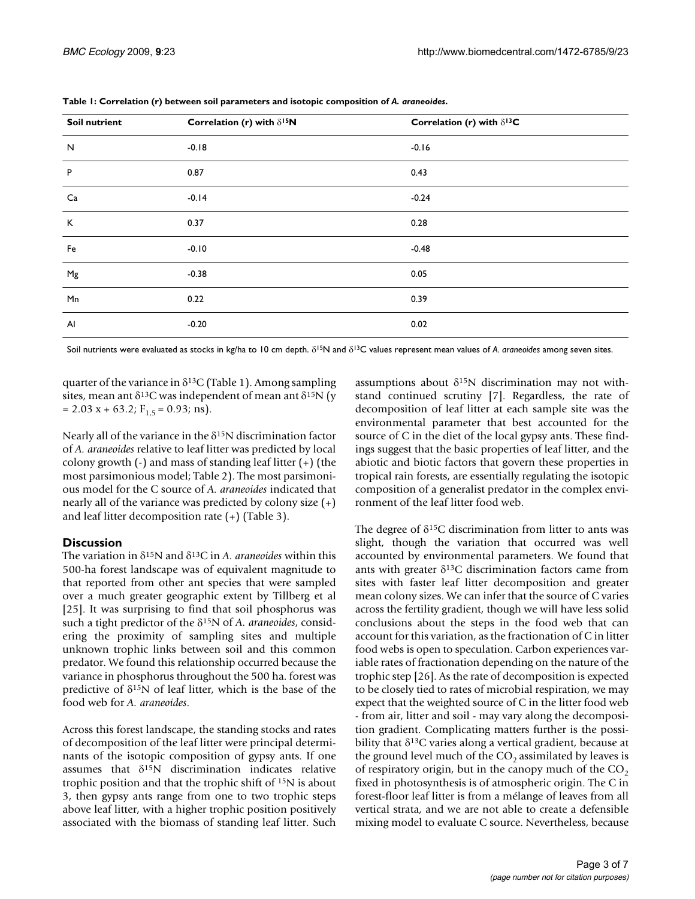| <b>Soil nutrient</b> | Correlation (r) with $\delta^{15}N$ | Correlation (r) with $\delta^{13}C$ |
|----------------------|-------------------------------------|-------------------------------------|
| $\mathsf{N}$         | $-0.18$                             | $-0.16$                             |
| $\sf P$              | 0.87                                | 0.43                                |
| Ca                   | $-0.14$                             | $-0.24$                             |
| K                    | 0.37                                | 0.28                                |
| Fe                   | $-0.10$                             | $-0.48$                             |
| Mg                   | $-0.38$                             | 0.05                                |
| Mn                   | 0.22                                | 0.39                                |
| Al                   | $-0.20$                             | 0.02                                |

**Table 1: Correlation (r) between soil parameters and isotopic composition of** *A. araneoides***.**

Soil nutrients were evaluated as stocks in kg/ha to 10 cm depth.  $\delta^{15}N$  and  $\delta^{13}C$  values represent mean values of *A. araneoides* among seven sites.

quarter of the variance in  $\delta^{13}$ C (Table 1). Among sampling sites, mean ant  $\delta^{13}$ C was independent of mean ant  $\delta^{15}$ N (y  $= 2.03$  x + 63.2; F<sub>1.5</sub> = 0.93; ns).

Nearly all of the variance in the  $\delta^{15}$ N discrimination factor of *A. araneoides* relative to leaf litter was predicted by local colony growth (-) and mass of standing leaf litter (+) (the most parsimonious model; Table 2). The most parsimonious model for the C source of *A. araneoides* indicated that nearly all of the variance was predicted by colony size (+) and leaf litter decomposition rate (+) (Table 3).

## **Discussion**

The variation in  $\delta^{15}N$  and  $\delta^{13}C$  in *A. araneoides* within this 500-ha forest landscape was of equivalent magnitude to that reported from other ant species that were sampled over a much greater geographic extent by Tillberg et al [25]. It was surprising to find that soil phosphorus was such a tight predictor of the G15N of *A. araneoides*, considering the proximity of sampling sites and multiple unknown trophic links between soil and this common predator. We found this relationship occurred because the variance in phosphorus throughout the 500 ha. forest was predictive of  $\delta^{15}N$  of leaf litter, which is the base of the food web for *A. araneoides*.

Across this forest landscape, the standing stocks and rates of decomposition of the leaf litter were principal determinants of the isotopic composition of gypsy ants. If one assumes that  $\delta^{15}N$  discrimination indicates relative trophic position and that the trophic shift of 15N is about 3, then gypsy ants range from one to two trophic steps above leaf litter, with a higher trophic position positively associated with the biomass of standing leaf litter. Such

assumptions about  $\delta^{15}N$  discrimination may not withstand continued scrutiny [7]. Regardless, the rate of decomposition of leaf litter at each sample site was the environmental parameter that best accounted for the source of C in the diet of the local gypsy ants. These findings suggest that the basic properties of leaf litter, and the abiotic and biotic factors that govern these properties in tropical rain forests, are essentially regulating the isotopic composition of a generalist predator in the complex environment of the leaf litter food web.

The degree of  $\delta^{15}C$  discrimination from litter to ants was slight, though the variation that occurred was well accounted by environmental parameters. We found that ants with greater  $\delta^{13}$ C discrimination factors came from sites with faster leaf litter decomposition and greater mean colony sizes. We can infer that the source of C varies across the fertility gradient, though we will have less solid conclusions about the steps in the food web that can account for this variation, as the fractionation of C in litter food webs is open to speculation. Carbon experiences variable rates of fractionation depending on the nature of the trophic step [26]. As the rate of decomposition is expected to be closely tied to rates of microbial respiration, we may expect that the weighted source of C in the litter food web - from air, litter and soil - may vary along the decomposition gradient. Complicating matters further is the possibility that  $\delta^{13}$ C varies along a vertical gradient, because at the ground level much of the  $CO<sub>2</sub>$  assimilated by leaves is of respiratory origin, but in the canopy much of the  $CO<sub>2</sub>$ fixed in photosynthesis is of atmospheric origin. The C in forest-floor leaf litter is from a mélange of leaves from all vertical strata, and we are not able to create a defensible mixing model to evaluate C source. Nevertheless, because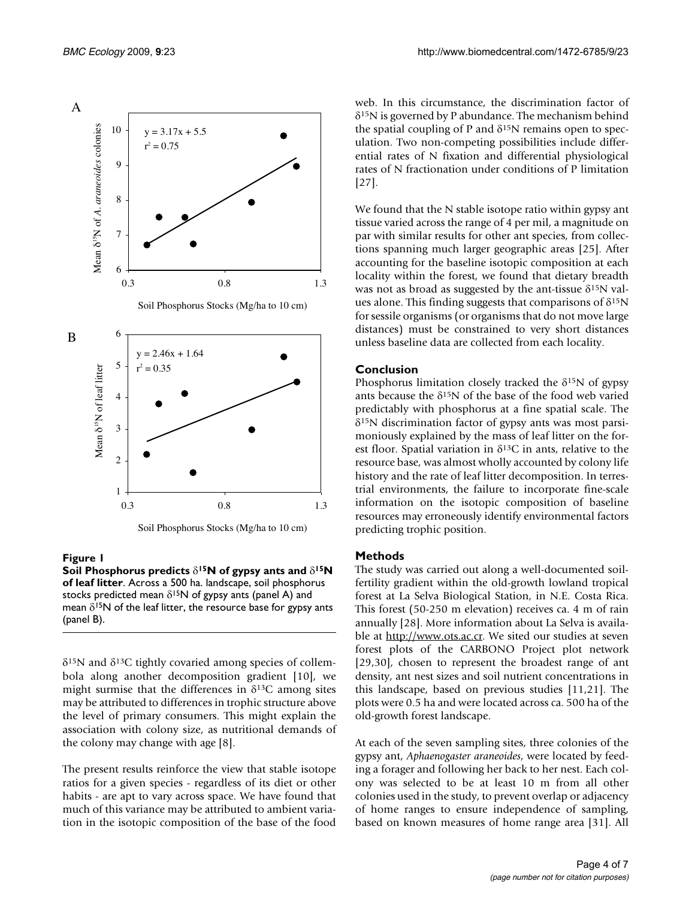

Soil Phosphorus Stocks (Mg/ha to 10 cm)

### **Figure 1**

**Soil Phosphorus predicts**  $\delta^{15}N$  **of gypsy ants and**  $\delta^{15}N$ **of leaf litter**. Across a 500 ha. landscape, soil phosphorus stocks predicted mean  $\delta^{15}N$  of gypsy ants (panel A) and mean  $\delta^{15}N$  of the leaf litter, the resource base for gypsy ants (panel B).

 $\delta$ <sup>15</sup>N and  $\delta$ <sup>13</sup>C tightly covaried among species of collembola along another decomposition gradient [10], we might surmise that the differences in  $\delta^{13}$ C among sites may be attributed to differences in trophic structure above the level of primary consumers. This might explain the association with colony size, as nutritional demands of the colony may change with age [8].

The present results reinforce the view that stable isotope ratios for a given species - regardless of its diet or other habits - are apt to vary across space. We have found that much of this variance may be attributed to ambient variation in the isotopic composition of the base of the food web. In this circumstance, the discrimination factor of  $\delta^{15}$ N is governed by P abundance. The mechanism behind the spatial coupling of P and  $\delta^{15}N$  remains open to speculation. Two non-competing possibilities include differential rates of N fixation and differential physiological rates of N fractionation under conditions of P limitation [27].

We found that the N stable isotope ratio within gypsy ant tissue varied across the range of 4 per mil, a magnitude on par with similar results for other ant species, from collections spanning much larger geographic areas [25]. After accounting for the baseline isotopic composition at each locality within the forest, we found that dietary breadth was not as broad as suggested by the ant-tissue  $\delta^{15}$ N values alone. This finding suggests that comparisons of  $\delta^{15}N$ for sessile organisms (or organisms that do not move large distances) must be constrained to very short distances unless baseline data are collected from each locality.

#### **Conclusion**

Phosphorus limitation closely tracked the  $\delta^{15}N$  of gypsy ants because the  $\delta^{15}N$  of the base of the food web varied predictably with phosphorus at a fine spatial scale. The G15N discrimination factor of gypsy ants was most parsimoniously explained by the mass of leaf litter on the forest floor. Spatial variation in  $\delta^{13}$ C in ants, relative to the resource base, was almost wholly accounted by colony life history and the rate of leaf litter decomposition. In terrestrial environments, the failure to incorporate fine-scale information on the isotopic composition of baseline resources may erroneously identify environmental factors predicting trophic position.

### **Methods**

The study was carried out along a well-documented soilfertility gradient within the old-growth lowland tropical forest at La Selva Biological Station, in N.E. Costa Rica. This forest (50-250 m elevation) receives ca. 4 m of rain annually [28]. More information about La Selva is available at <http://www.ots.ac.cr>. We sited our studies at seven forest plots of the CARBONO Project plot network [29,30], chosen to represent the broadest range of ant density, ant nest sizes and soil nutrient concentrations in this landscape, based on previous studies [11,21]. The plots were 0.5 ha and were located across ca. 500 ha of the old-growth forest landscape.

At each of the seven sampling sites, three colonies of the gypsy ant, *Aphaenogaster araneoides*, were located by feeding a forager and following her back to her nest. Each colony was selected to be at least 10 m from all other colonies used in the study, to prevent overlap or adjacency of home ranges to ensure independence of sampling, based on known measures of home range area [31]. All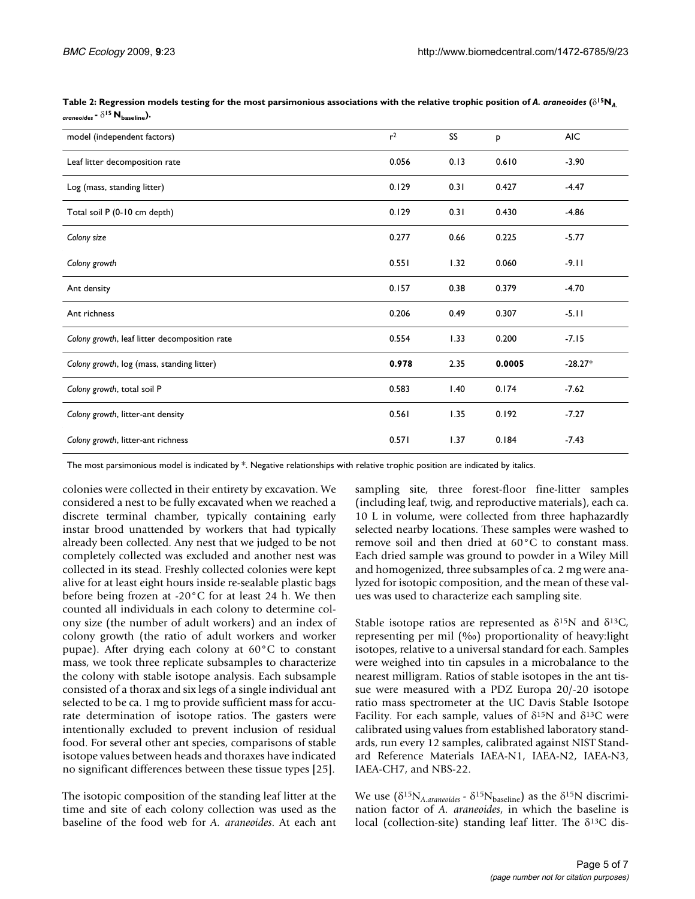| model (independent factors)                   | r <sup>2</sup> | SS <sub>1</sub> | P      | <b>AIC</b> |
|-----------------------------------------------|----------------|-----------------|--------|------------|
| Leaf litter decomposition rate                | 0.056          | 0.13            | 0.610  | $-3.90$    |
| Log (mass, standing litter)                   | 0.129          | 0.31            | 0.427  | $-4.47$    |
| Total soil P (0-10 cm depth)                  | 0.129          | 0.31            | 0.430  | $-4.86$    |
| Colony size                                   | 0.277          | 0.66            | 0.225  | $-5.77$    |
| Colony growth                                 | 0.551          | 1.32            | 0.060  | $-9.11$    |
| Ant density                                   | 0.157          | 0.38            | 0.379  | $-4.70$    |
| Ant richness                                  | 0.206          | 0.49            | 0.307  | $-5.11$    |
| Colony growth, leaf litter decomposition rate | 0.554          | 1.33            | 0.200  | $-7.15$    |
| Colony growth, log (mass, standing litter)    | 0.978          | 2.35            | 0.0005 | $-28.27*$  |
| Colony growth, total soil P                   | 0.583          | 1.40            | 0.174  | $-7.62$    |
| Colony growth, litter-ant density             | 0.561          | 1.35            | 0.192  | $-7.27$    |
| Colony growth, litter-ant richness            | 0.571          | 1.37            | 0.184  | $-7.43$    |

Table 2: Regression models testing for the most parsimonious associations with the relative trophic position of A. araneoides ( $\delta^{15}N_A$  $araneous - \delta^{15} N_{\text{baseline}}$ .

The most parsimonious model is indicated by \*. Negative relationships with relative trophic position are indicated by italics.

colonies were collected in their entirety by excavation. We considered a nest to be fully excavated when we reached a discrete terminal chamber, typically containing early instar brood unattended by workers that had typically already been collected. Any nest that we judged to be not completely collected was excluded and another nest was collected in its stead. Freshly collected colonies were kept alive for at least eight hours inside re-sealable plastic bags before being frozen at -20°C for at least 24 h. We then counted all individuals in each colony to determine colony size (the number of adult workers) and an index of colony growth (the ratio of adult workers and worker pupae). After drying each colony at 60°C to constant mass, we took three replicate subsamples to characterize the colony with stable isotope analysis. Each subsample consisted of a thorax and six legs of a single individual ant selected to be ca. 1 mg to provide sufficient mass for accurate determination of isotope ratios. The gasters were intentionally excluded to prevent inclusion of residual food. For several other ant species, comparisons of stable isotope values between heads and thoraxes have indicated no significant differences between these tissue types [25].

The isotopic composition of the standing leaf litter at the time and site of each colony collection was used as the baseline of the food web for *A. araneoides*. At each ant

sampling site, three forest-floor fine-litter samples (including leaf, twig, and reproductive materials), each ca. 10 L in volume, were collected from three haphazardly selected nearby locations. These samples were washed to remove soil and then dried at 60°C to constant mass. Each dried sample was ground to powder in a Wiley Mill and homogenized, three subsamples of ca. 2 mg were analyzed for isotopic composition, and the mean of these values was used to characterize each sampling site.

Stable isotope ratios are represented as  $\delta^{15}N$  and  $\delta^{13}C$ , representing per mil (‰) proportionality of heavy:light isotopes, relative to a universal standard for each. Samples were weighed into tin capsules in a microbalance to the nearest milligram. Ratios of stable isotopes in the ant tissue were measured with a PDZ Europa 20/-20 isotope ratio mass spectrometer at the UC Davis Stable Isotope Facility. For each sample, values of  $\delta^{15}N$  and  $\delta^{13}C$  were calibrated using values from established laboratory standards, run every 12 samples, calibrated against NIST Standard Reference Materials IAEA-N1, IAEA-N2, IAEA-N3, IAEA-CH7, and NBS-22.

We use  $(\delta^{15}N_{A.araneoides} - \delta^{15}N_{\text{baseline}})$  as the  $\delta^{15}N$  discrimination factor of *A. araneoides*, in which the baseline is local (collection-site) standing leaf litter. The  $\delta^{13}C$  dis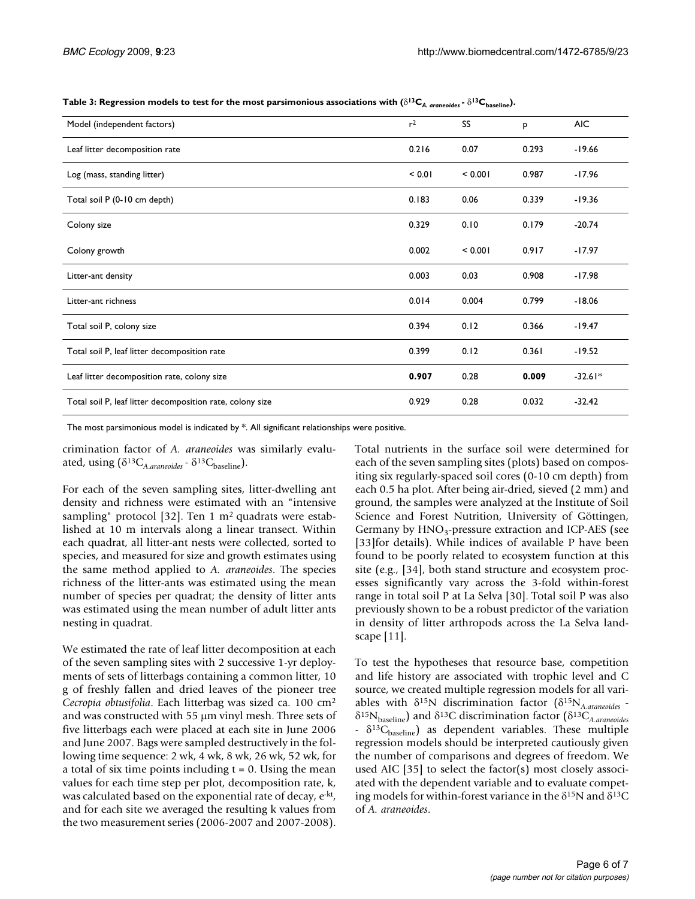**Table 3: Regression models to test for the most parsimonious associations with (** $\delta^{13}C_{A. \text{orange}}$ **).**  $\delta^{13}C_{\text{baseline}}$ **).** 

| Model (independent factors)                               |       | SS      | P     | <b>AIC</b> |
|-----------------------------------------------------------|-------|---------|-------|------------|
| Leaf litter decomposition rate                            |       | 0.07    | 0.293 | $-19.66$   |
| Log (mass, standing litter)                               |       | < 0.001 | 0.987 | $-17.96$   |
| Total soil P (0-10 cm depth)                              |       | 0.06    | 0.339 | $-19.36$   |
| Colony size                                               |       | 0.10    | 0.179 | $-20.74$   |
| Colony growth                                             | 0.002 | < 0.001 | 0.917 | $-17.97$   |
| Litter-ant density                                        | 0.003 | 0.03    | 0.908 | $-17.98$   |
| Litter-ant richness                                       |       | 0.004   | 0.799 | $-18.06$   |
| Total soil P, colony size                                 |       | 0.12    | 0.366 | $-19.47$   |
| Total soil P, leaf litter decomposition rate              |       | 0.12    | 0.361 | $-19.52$   |
| Leaf litter decomposition rate, colony size               |       | 0.28    | 0.009 | $-32.61*$  |
| Total soil P, leaf litter decomposition rate, colony size |       | 0.28    | 0.032 | $-32.42$   |

The most parsimonious model is indicated by \*. All significant relationships were positive.

crimination factor of *A. araneoides* was similarly evaluated, using  $(\delta^{13}C_{A. \text{araneoides}} - \delta^{13}C_{\text{baseline}})$ .

For each of the seven sampling sites, litter-dwelling ant density and richness were estimated with an "intensive sampling" protocol [32]. Ten 1  $m<sup>2</sup>$  quadrats were established at 10 m intervals along a linear transect. Within each quadrat, all litter-ant nests were collected, sorted to species, and measured for size and growth estimates using the same method applied to *A. araneoides*. The species richness of the litter-ants was estimated using the mean number of species per quadrat; the density of litter ants was estimated using the mean number of adult litter ants nesting in quadrat.

We estimated the rate of leaf litter decomposition at each of the seven sampling sites with 2 successive 1-yr deployments of sets of litterbags containing a common litter, 10 g of freshly fallen and dried leaves of the pioneer tree *Cecropia obtusifolia*. Each litterbag was sized ca. 100 cm2 and was constructed with  $55 \mu m$  vinyl mesh. Three sets of five litterbags each were placed at each site in June 2006 and June 2007. Bags were sampled destructively in the following time sequence: 2 wk, 4 wk, 8 wk, 26 wk, 52 wk, for a total of six time points including  $t = 0$ . Using the mean values for each time step per plot, decomposition rate, k, was calculated based on the exponential rate of decay, e<sup>-kt</sup>, and for each site we averaged the resulting k values from the two measurement series (2006-2007 and 2007-2008).

Total nutrients in the surface soil were determined for each of the seven sampling sites (plots) based on compositing six regularly-spaced soil cores (0-10 cm depth) from each 0.5 ha plot. After being air-dried, sieved (2 mm) and ground, the samples were analyzed at the Institute of Soil Science and Forest Nutrition, University of Göttingen, Germany by  $HNO<sub>3</sub>$ -pressure extraction and ICP-AES (see [33]for details). While indices of available P have been found to be poorly related to ecosystem function at this site (e.g., [34], both stand structure and ecosystem processes significantly vary across the 3-fold within-forest range in total soil P at La Selva [30]. Total soil P was also previously shown to be a robust predictor of the variation in density of litter arthropods across the La Selva landscape [11].

To test the hypotheses that resource base, competition and life history are associated with trophic level and C source, we created multiple regression models for all variables with G15N discrimination factor (G15N*A*.*araneoides -* G15Nbaseline) and G13C discrimination factor (G13C*A*.*araneoides* <sup>-</sup> δ<sup>13</sup>C<sub>baseline</sub>) as dependent variables. These multiple regression models should be interpreted cautiously given the number of comparisons and degrees of freedom. We used AIC [35] to select the factor(s) most closely associated with the dependent variable and to evaluate competing models for within-forest variance in the  $\delta^{15}N$  and  $\delta^{13}C$ of *A. araneoides*.